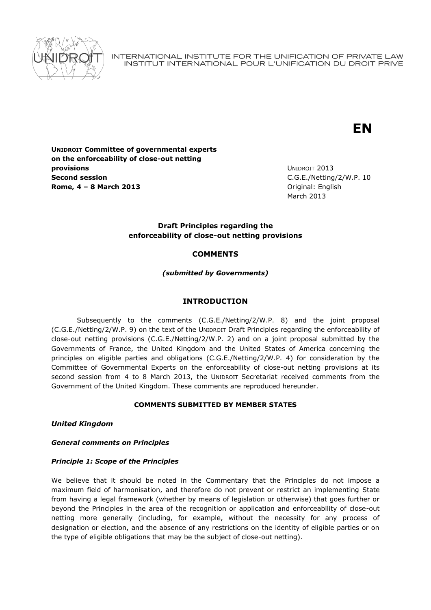

INTERNATIONAL INSTITUTE FOR THE UNIFICATION OF PRIVATE LAW INSTITUT INTERNATIONAL POUR L'UNIFICATION DU DROIT PRIVE

# **EN**

**UNIDROIT Committee of governmental experts on the enforceability of close-out netting provisions Second session Rome, 4 – 8 March 2013** Original: English

UNIDROIT 2013 C.G.E./Netting/2/W.P. 10 March 2013

## **Draft Principles regarding the enforceability of close-out netting provisions**

# **COMMENTS**

*(submitted by Governments)*

## **INTRODUCTION**

Subsequently to the comments (C.G.E./Netting/2/W.P. 8) and the joint proposal (C.G.E./Netting/2/W.P. 9) on the text of the UNIDROIT Draft Principles regarding the enforceability of close-out netting provisions (C.G.E./Netting/2/W.P. 2) and on a joint proposal submitted by the Governments of France, the United Kingdom and the United States of America concerning the principles on eligible parties and obligations (C.G.E./Netting/2/W.P. 4) for consideration by the Committee of Governmental Experts on the enforceability of close-out netting provisions at its second session from 4 to 8 March 2013, the UNIDROIT Secretariat received comments from the Government of the United Kingdom. These comments are reproduced hereunder.

#### **COMMENTS SUBMITTED BY MEMBER STATES**

*United Kingdom*

#### *General comments on Principles*

#### *Principle 1: Scope of the Principles*

We believe that it should be noted in the Commentary that the Principles do not impose a maximum field of harmonisation, and therefore do not prevent or restrict an implementing State from having a legal framework (whether by means of legislation or otherwise) that goes further or beyond the Principles in the area of the recognition or application and enforceability of close-out netting more generally (including, for example, without the necessity for any process of designation or election, and the absence of any restrictions on the identity of eligible parties or on the type of eligible obligations that may be the subject of close-out netting).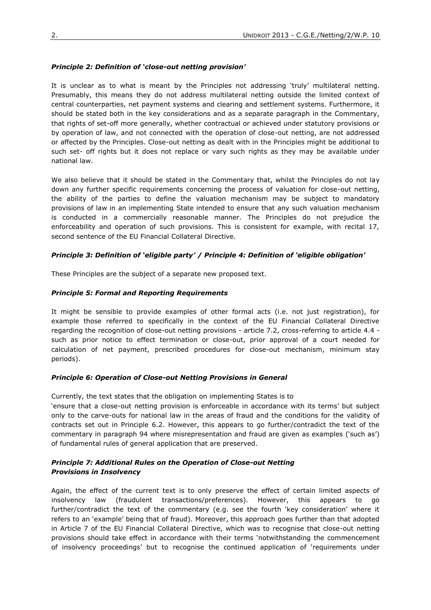## *Principle 2: Definition of 'close-out netting provision'*

It is unclear as to what is meant by the Principles not addressing 'truly' multilateral netting. Presumably, this means they do not address multilateral netting outside the limited context of central counterparties, net payment systems and clearing and settlement systems. Furthermore, it should be stated both in the key considerations and as a separate paragraph in the Commentary, that rights of set-off more generally, whether contractual or achieved under statutory provisions or by operation of law, and not connected with the operation of close-out netting, are not addressed or affected by the Principles. Close-out netting as dealt with in the Principles might be additional to such set- off rights but it does not replace or vary such rights as they may be available under national law.

We also believe that it should be stated in the Commentary that, whilst the Principles do not lay down any further specific requirements concerning the process of valuation for close-out netting, the ability of the parties to define the valuation mechanism may be subject to mandatory provisions of law in an implementing State intended to ensure that any such valuation mechanism is conducted in a commercially reasonable manner. The Principles do not prejudice the enforceability and operation of such provisions. This is consistent for example, with recital 17, second sentence of the EU Financial Collateral Directive.

## *Principle 3: Definition of 'eligible party' / Principle 4: Definition of 'eligible obligation'*

These Principles are the subject of a separate new proposed text.

## *Principle 5: Formal and Reporting Requirements*

It might be sensible to provide examples of other formal acts (i.e. not just registration), for example those referred to specifically in the context of the EU Financial Collateral Directive regarding the recognition of close-out netting provisions - article 7.2, cross-referring to article 4.4 such as prior notice to effect termination or close-out, prior approval of a court needed for calculation of net payment, prescribed procedures for close-out mechanism, minimum stay periods).

# *Principle 6: Operation of Close-out Netting Provisions in General*

Currently, the text states that the obligation on implementing States is to

'ensure that a close-out netting provision is enforceable in accordance with its terms' but subject only to the carve-outs for national law in the areas of fraud and the conditions for the validity of contracts set out in Principle 6.2. However, this appears to go further/contradict the text of the commentary in paragraph 94 where misrepresentation and fraud are given as examples ('such as') of fundamental rules of general application that are preserved.

## *Principle 7: Additional Rules on the Operation of Close-out Netting Provisions in Insolvency*

Again, the effect of the current text is to only preserve the effect of certain limited aspects of insolvency law (fraudulent transactions/preferences). However, this appears to go further/contradict the text of the commentary (e.g. see the fourth 'key consideration' where it refers to an 'example' being that of fraud). Moreover, this approach goes further than that adopted in Article 7 of the EU Financial Collateral Directive, which was to recognise that close-out netting provisions should take effect in accordance with their terms 'notwithstanding the commencement of insolvency proceedings' but to recognise the continued application of 'requirements under